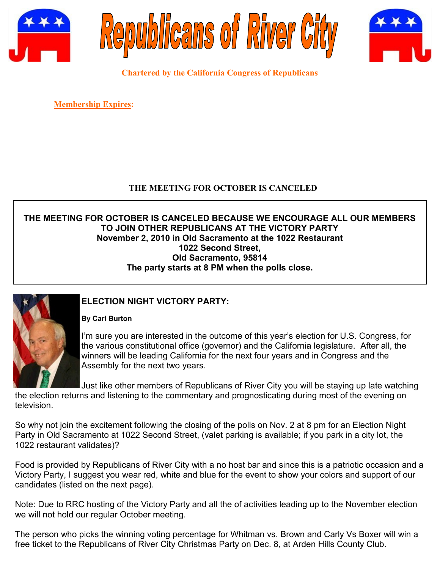





**Chartered by the California Congress of Republicans**

**Membership Expires:** 

# **THE MEETING FOR OCTOBER IS CANCELED**

# **THE MEETING FOR OCTOBER IS CANCELED BECAUSE WE ENCOURAGE ALL OUR MEMBERS TO JOIN OTHER REPUBLICANS AT THE VICTORY PARTY November 2, 2010 in Old Sacramento at the 1022 Restaurant 1022 Second Street, Old Sacramento, 95814 The party starts at 8 PM when the polls close.**



# **ELECTION NIGHT VICTORY PARTY:**

**By Carl Burton**

I'm sure you are interested in the outcome of this year's election for U.S. Congress, for the various constitutional office (governor) and the California legislature. After all, the winners will be leading California for the next four years and in Congress and the Assembly for the next two years.

Just like other members of Republicans of River City you will be staying up late watching

the election returns and listening to the commentary and prognosticating during most of the evening on television.

So why not join the excitement following the closing of the polls on Nov. 2 at 8 pm for an Election Night Party in Old Sacramento at 1022 Second Street, (valet parking is available; if you park in a city lot, the 1022 restaurant validates)?

Food is provided by Republicans of River City with a no host bar and since this is a patriotic occasion and a Victory Party, I suggest you wear red, white and blue for the event to show your colors and support of our candidates (listed on the next page).

Note: Due to RRC hosting of the Victory Party and all the of activities leading up to the November election we will not hold our regular October meeting.

The person who picks the winning voting percentage for Whitman vs. Brown and Carly Vs Boxer will win a free ticket to the Republicans of River City Christmas Party on Dec. 8, at Arden Hills County Club.